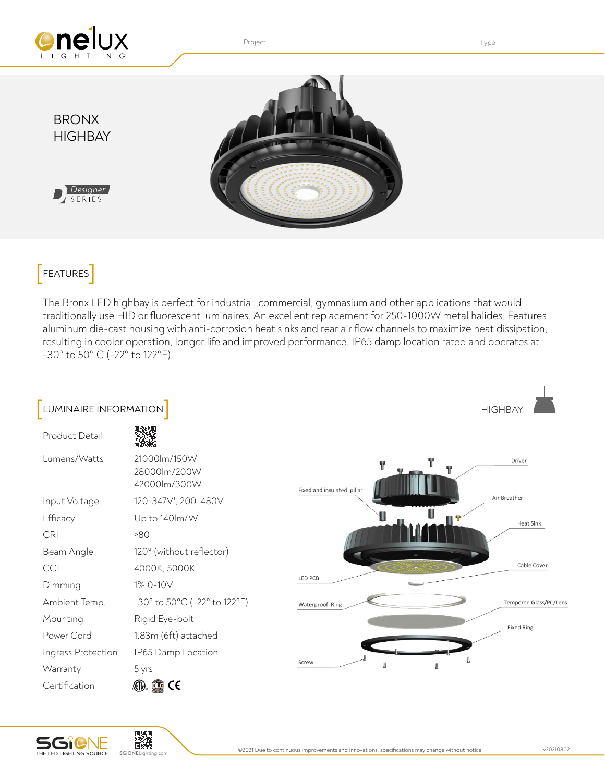

## **FEATURES**

The Bronx LED highbay is perfect for industrial, commercial, gymnasium and other applications that would traditionally use HID or fluorescent luminaires. An excellent replacement for 250-1000W metal halides. Features aluminum die-cast housing with anti-corrosion heat sinks and rear air flow channels to maximize heat dissipation, resulting in cooler operation, longer life and improved performance. IP65 damp location rated and operates at -30° to 50° C (-22° to 122°F).